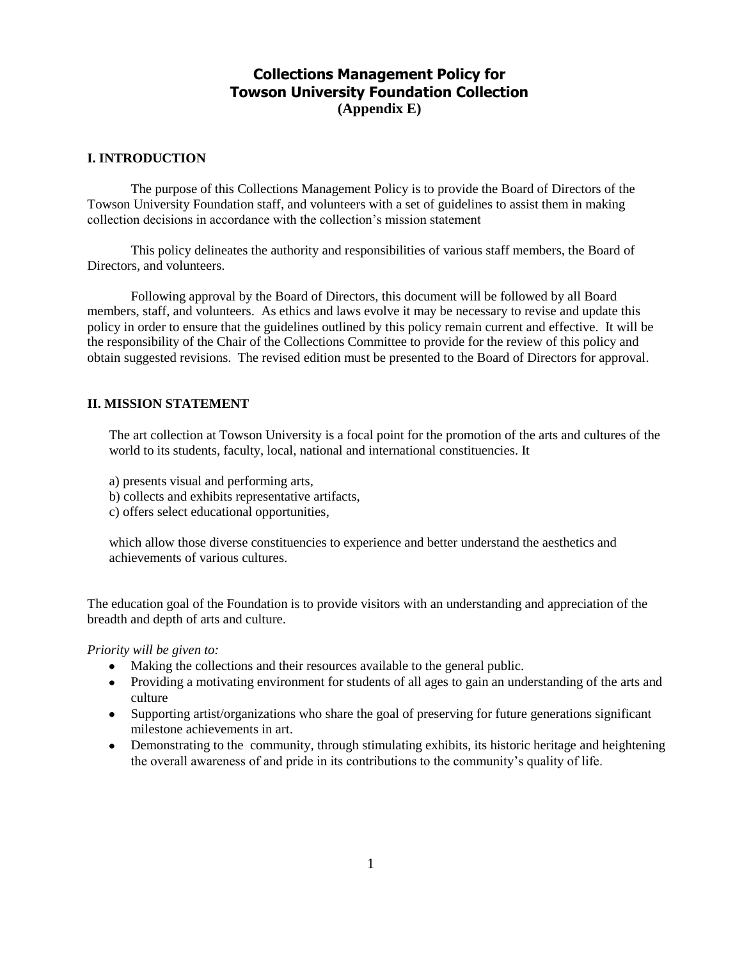# **Collections Management Policy for Towson University Foundation Collection (Appendix E)**

#### **I. INTRODUCTION**

The purpose of this Collections Management Policy is to provide the Board of Directors of the Towson University Foundation staff, and volunteers with a set of guidelines to assist them in making collection decisions in accordance with the collection's mission statement

This policy delineates the authority and responsibilities of various staff members, the Board of Directors, and volunteers.

Following approval by the Board of Directors, this document will be followed by all Board members, staff, and volunteers. As ethics and laws evolve it may be necessary to revise and update this policy in order to ensure that the guidelines outlined by this policy remain current and effective. It will be the responsibility of the Chair of the Collections Committee to provide for the review of this policy and obtain suggested revisions. The revised edition must be presented to the Board of Directors for approval.

#### **II. MISSION STATEMENT**

The art collection at Towson University is a focal point for the promotion of the arts and cultures of the world to its students, faculty, local, national and international constituencies. It

- a) presents visual and performing arts,
- b) collects and exhibits representative artifacts,
- c) offers select educational opportunities,

which allow those diverse constituencies to experience and better understand the aesthetics and achievements of various cultures.

The education goal of the Foundation is to provide visitors with an understanding and appreciation of the breadth and depth of arts and culture.

*Priority will be given to:*

- Making the collections and their resources available to the general public.
- Providing a motivating environment for students of all ages to gain an understanding of the arts and culture
- Supporting artist/organizations who share the goal of preserving for future generations significant milestone achievements in art.
- Demonstrating to the community, through stimulating exhibits, its historic heritage and heightening the overall awareness of and pride in its contributions to the community's quality of life.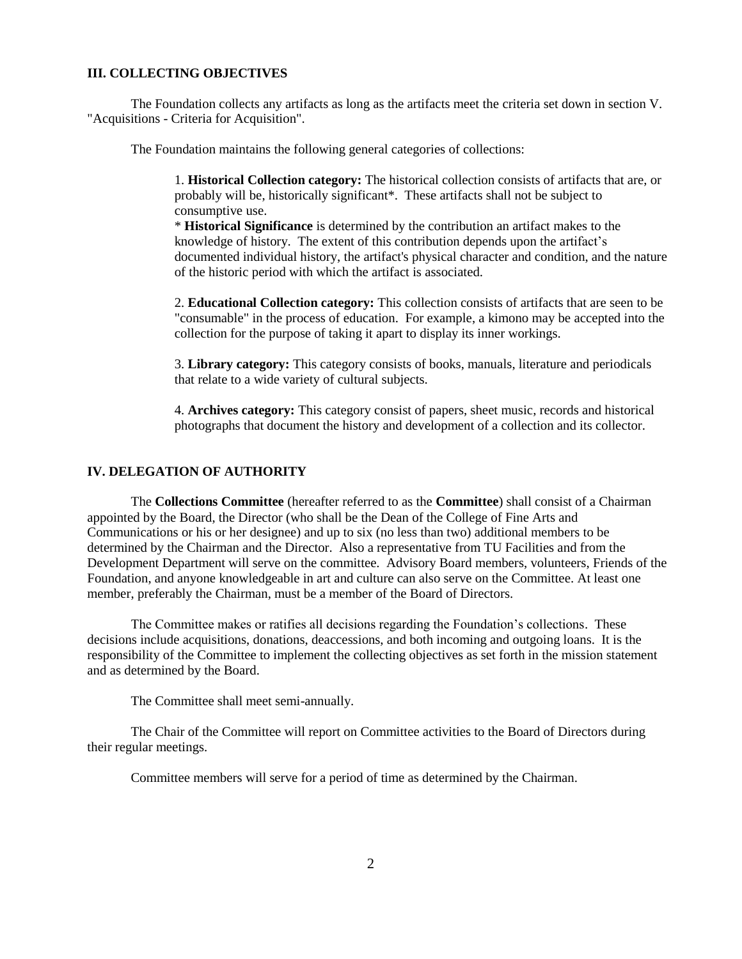#### **III. COLLECTING OBJECTIVES**

The Foundation collects any artifacts as long as the artifacts meet the criteria set down in section V. "Acquisitions - Criteria for Acquisition".

The Foundation maintains the following general categories of collections:

1. **Historical Collection category:** The historical collection consists of artifacts that are, or probably will be, historically significant\*. These artifacts shall not be subject to consumptive use.

\* **Historical Significance** is determined by the contribution an artifact makes to the knowledge of history. The extent of this contribution depends upon the artifact's documented individual history, the artifact's physical character and condition, and the nature of the historic period with which the artifact is associated.

2. **Educational Collection category:** This collection consists of artifacts that are seen to be "consumable" in the process of education. For example, a kimono may be accepted into the collection for the purpose of taking it apart to display its inner workings.

3. **Library category:** This category consists of books, manuals, literature and periodicals that relate to a wide variety of cultural subjects.

4. **Archives category:** This category consist of papers, sheet music, records and historical photographs that document the history and development of a collection and its collector.

#### **IV. DELEGATION OF AUTHORITY**

The **Collections Committee** (hereafter referred to as the **Committee**) shall consist of a Chairman appointed by the Board, the Director (who shall be the Dean of the College of Fine Arts and Communications or his or her designee) and up to six (no less than two) additional members to be determined by the Chairman and the Director. Also a representative from TU Facilities and from the Development Department will serve on the committee. Advisory Board members, volunteers, Friends of the Foundation, and anyone knowledgeable in art and culture can also serve on the Committee. At least one member, preferably the Chairman, must be a member of the Board of Directors.

The Committee makes or ratifies all decisions regarding the Foundation's collections. These decisions include acquisitions, donations, deaccessions, and both incoming and outgoing loans. It is the responsibility of the Committee to implement the collecting objectives as set forth in the mission statement and as determined by the Board.

The Committee shall meet semi-annually.

The Chair of the Committee will report on Committee activities to the Board of Directors during their regular meetings.

Committee members will serve for a period of time as determined by the Chairman.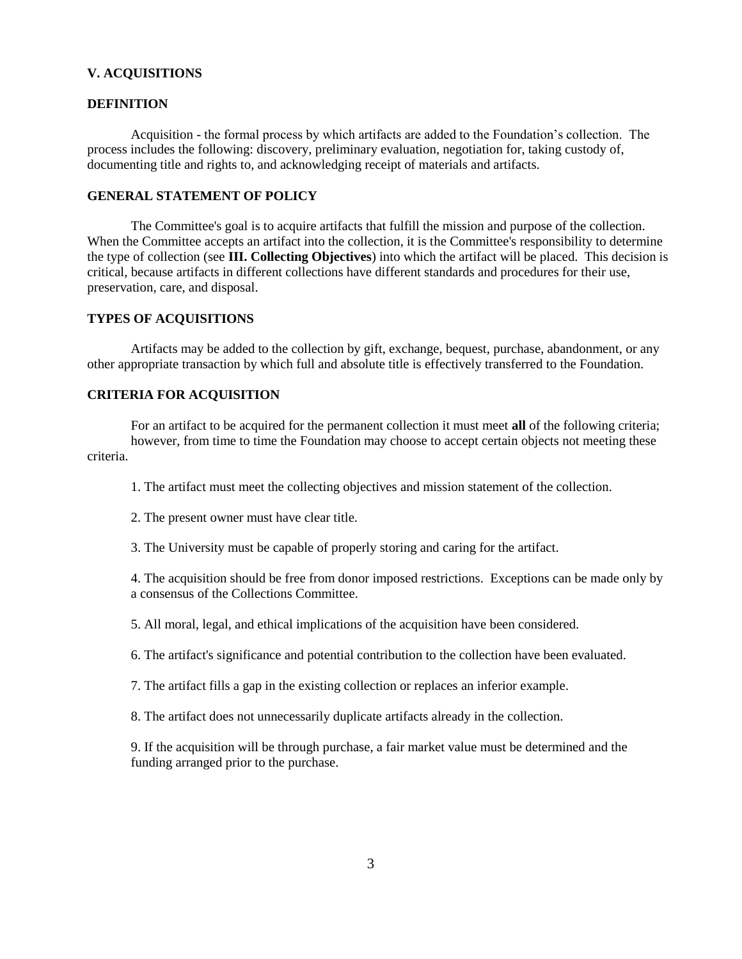## **V. ACQUISITIONS**

## **DEFINITION**

Acquisition - the formal process by which artifacts are added to the Foundation's collection. The process includes the following: discovery, preliminary evaluation, negotiation for, taking custody of, documenting title and rights to, and acknowledging receipt of materials and artifacts.

## **GENERAL STATEMENT OF POLICY**

The Committee's goal is to acquire artifacts that fulfill the mission and purpose of the collection. When the Committee accepts an artifact into the collection, it is the Committee's responsibility to determine the type of collection (see **III. Collecting Objectives**) into which the artifact will be placed. This decision is critical, because artifacts in different collections have different standards and procedures for their use, preservation, care, and disposal.

### **TYPES OF ACQUISITIONS**

Artifacts may be added to the collection by gift, exchange, bequest, purchase, abandonment, or any other appropriate transaction by which full and absolute title is effectively transferred to the Foundation.

## **CRITERIA FOR ACQUISITION**

For an artifact to be acquired for the permanent collection it must meet **all** of the following criteria; however, from time to time the Foundation may choose to accept certain objects not meeting these criteria.

1. The artifact must meet the collecting objectives and mission statement of the collection.

2. The present owner must have clear title.

3. The University must be capable of properly storing and caring for the artifact.

4. The acquisition should be free from donor imposed restrictions. Exceptions can be made only by a consensus of the Collections Committee.

5. All moral, legal, and ethical implications of the acquisition have been considered.

6. The artifact's significance and potential contribution to the collection have been evaluated.

7. The artifact fills a gap in the existing collection or replaces an inferior example.

8. The artifact does not unnecessarily duplicate artifacts already in the collection.

9. If the acquisition will be through purchase, a fair market value must be determined and the funding arranged prior to the purchase.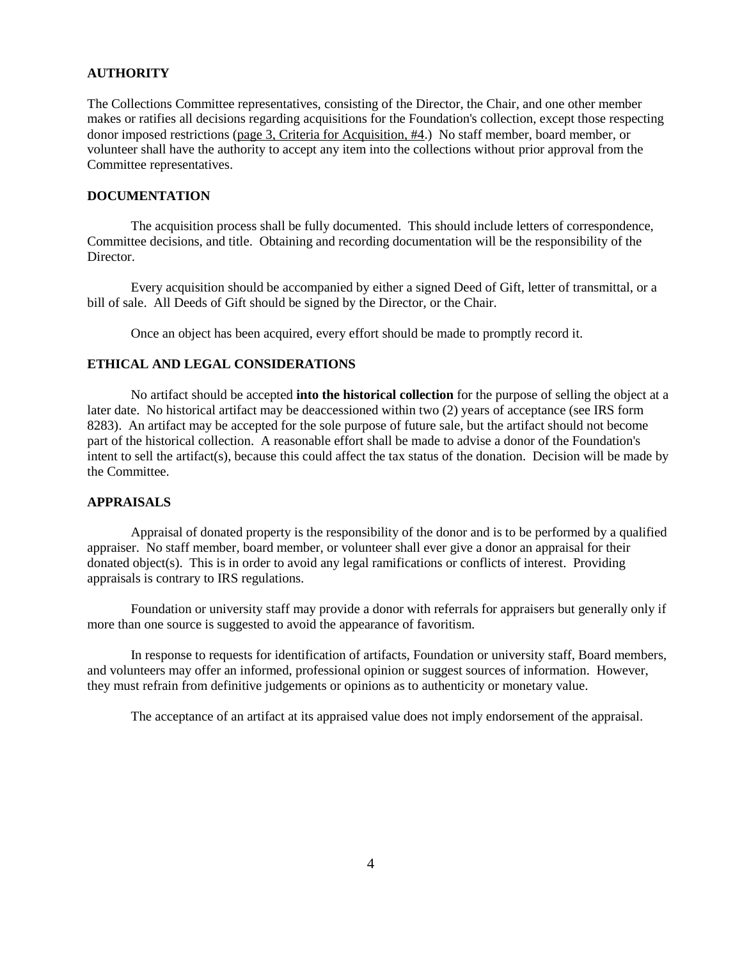### **AUTHORITY**

The Collections Committee representatives, consisting of the Director, the Chair, and one other member makes or ratifies all decisions regarding acquisitions for the Foundation's collection, except those respecting donor imposed restrictions (page 3, Criteria for Acquisition, #4.) No staff member, board member, or volunteer shall have the authority to accept any item into the collections without prior approval from the Committee representatives.

## **DOCUMENTATION**

The acquisition process shall be fully documented. This should include letters of correspondence, Committee decisions, and title. Obtaining and recording documentation will be the responsibility of the Director.

Every acquisition should be accompanied by either a signed Deed of Gift, letter of transmittal, or a bill of sale. All Deeds of Gift should be signed by the Director, or the Chair.

Once an object has been acquired, every effort should be made to promptly record it.

#### **ETHICAL AND LEGAL CONSIDERATIONS**

No artifact should be accepted **into the historical collection** for the purpose of selling the object at a later date. No historical artifact may be deaccessioned within two (2) years of acceptance (see IRS form 8283). An artifact may be accepted for the sole purpose of future sale, but the artifact should not become part of the historical collection. A reasonable effort shall be made to advise a donor of the Foundation's intent to sell the artifact(s), because this could affect the tax status of the donation. Decision will be made by the Committee.

#### **APPRAISALS**

Appraisal of donated property is the responsibility of the donor and is to be performed by a qualified appraiser. No staff member, board member, or volunteer shall ever give a donor an appraisal for their donated object(s). This is in order to avoid any legal ramifications or conflicts of interest. Providing appraisals is contrary to IRS regulations.

Foundation or university staff may provide a donor with referrals for appraisers but generally only if more than one source is suggested to avoid the appearance of favoritism.

In response to requests for identification of artifacts, Foundation or university staff, Board members, and volunteers may offer an informed, professional opinion or suggest sources of information. However, they must refrain from definitive judgements or opinions as to authenticity or monetary value.

The acceptance of an artifact at its appraised value does not imply endorsement of the appraisal.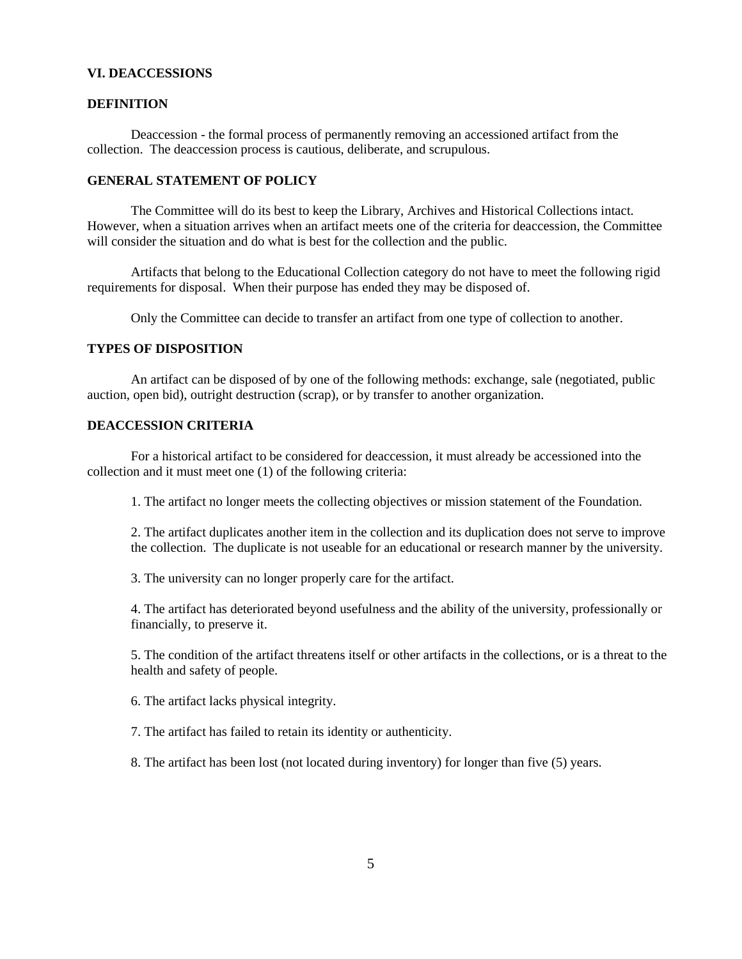#### **VI. DEACCESSIONS**

### **DEFINITION**

Deaccession - the formal process of permanently removing an accessioned artifact from the collection. The deaccession process is cautious, deliberate, and scrupulous.

### **GENERAL STATEMENT OF POLICY**

The Committee will do its best to keep the Library, Archives and Historical Collections intact. However, when a situation arrives when an artifact meets one of the criteria for deaccession, the Committee will consider the situation and do what is best for the collection and the public.

Artifacts that belong to the Educational Collection category do not have to meet the following rigid requirements for disposal. When their purpose has ended they may be disposed of.

Only the Committee can decide to transfer an artifact from one type of collection to another.

### **TYPES OF DISPOSITION**

An artifact can be disposed of by one of the following methods: exchange, sale (negotiated, public auction, open bid), outright destruction (scrap), or by transfer to another organization.

### **DEACCESSION CRITERIA**

For a historical artifact to be considered for deaccession, it must already be accessioned into the collection and it must meet one (1) of the following criteria:

1. The artifact no longer meets the collecting objectives or mission statement of the Foundation.

2. The artifact duplicates another item in the collection and its duplication does not serve to improve the collection. The duplicate is not useable for an educational or research manner by the university.

3. The university can no longer properly care for the artifact.

4. The artifact has deteriorated beyond usefulness and the ability of the university, professionally or financially, to preserve it.

5. The condition of the artifact threatens itself or other artifacts in the collections, or is a threat to the health and safety of people.

6. The artifact lacks physical integrity.

7. The artifact has failed to retain its identity or authenticity.

8. The artifact has been lost (not located during inventory) for longer than five (5) years.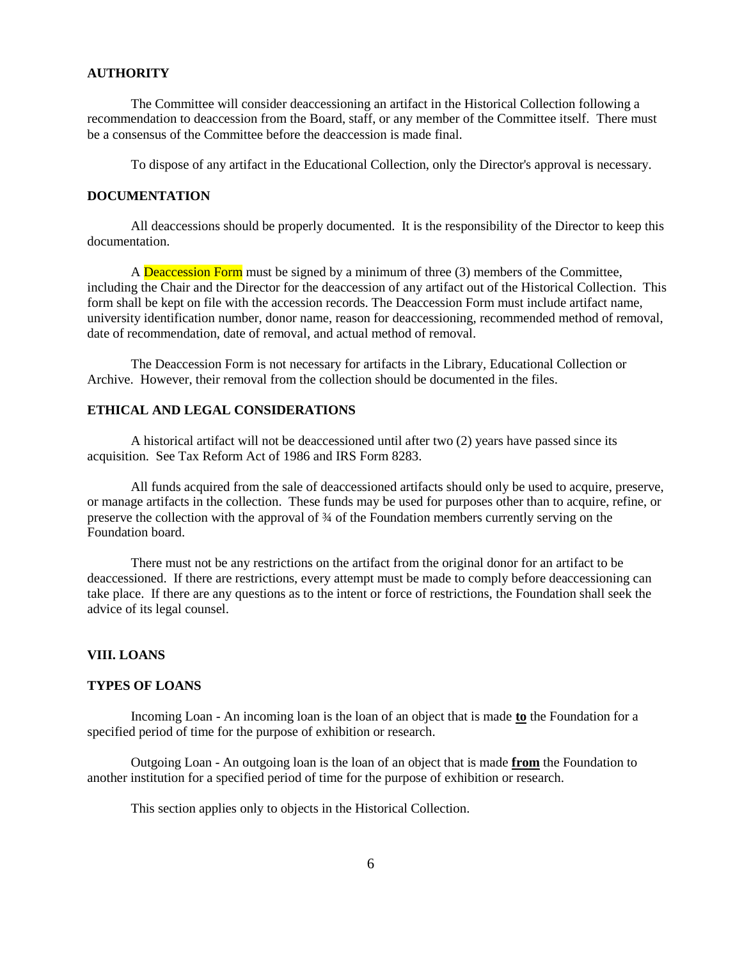### **AUTHORITY**

The Committee will consider deaccessioning an artifact in the Historical Collection following a recommendation to deaccession from the Board, staff, or any member of the Committee itself. There must be a consensus of the Committee before the deaccession is made final.

To dispose of any artifact in the Educational Collection, only the Director's approval is necessary.

### **DOCUMENTATION**

All deaccessions should be properly documented. It is the responsibility of the Director to keep this documentation.

A Deaccession Form must be signed by a minimum of three (3) members of the Committee, including the Chair and the Director for the deaccession of any artifact out of the Historical Collection. This form shall be kept on file with the accession records. The Deaccession Form must include artifact name, university identification number, donor name, reason for deaccessioning, recommended method of removal, date of recommendation, date of removal, and actual method of removal.

The Deaccession Form is not necessary for artifacts in the Library, Educational Collection or Archive. However, their removal from the collection should be documented in the files.

### **ETHICAL AND LEGAL CONSIDERATIONS**

A historical artifact will not be deaccessioned until after two (2) years have passed since its acquisition. See Tax Reform Act of 1986 and IRS Form 8283.

All funds acquired from the sale of deaccessioned artifacts should only be used to acquire, preserve, or manage artifacts in the collection. These funds may be used for purposes other than to acquire, refine, or preserve the collection with the approval of ¾ of the Foundation members currently serving on the Foundation board.

There must not be any restrictions on the artifact from the original donor for an artifact to be deaccessioned. If there are restrictions, every attempt must be made to comply before deaccessioning can take place. If there are any questions as to the intent or force of restrictions, the Foundation shall seek the advice of its legal counsel.

#### **VIII. LOANS**

### **TYPES OF LOANS**

Incoming Loan - An incoming loan is the loan of an object that is made **to** the Foundation for a specified period of time for the purpose of exhibition or research.

Outgoing Loan - An outgoing loan is the loan of an object that is made **from** the Foundation to another institution for a specified period of time for the purpose of exhibition or research.

This section applies only to objects in the Historical Collection.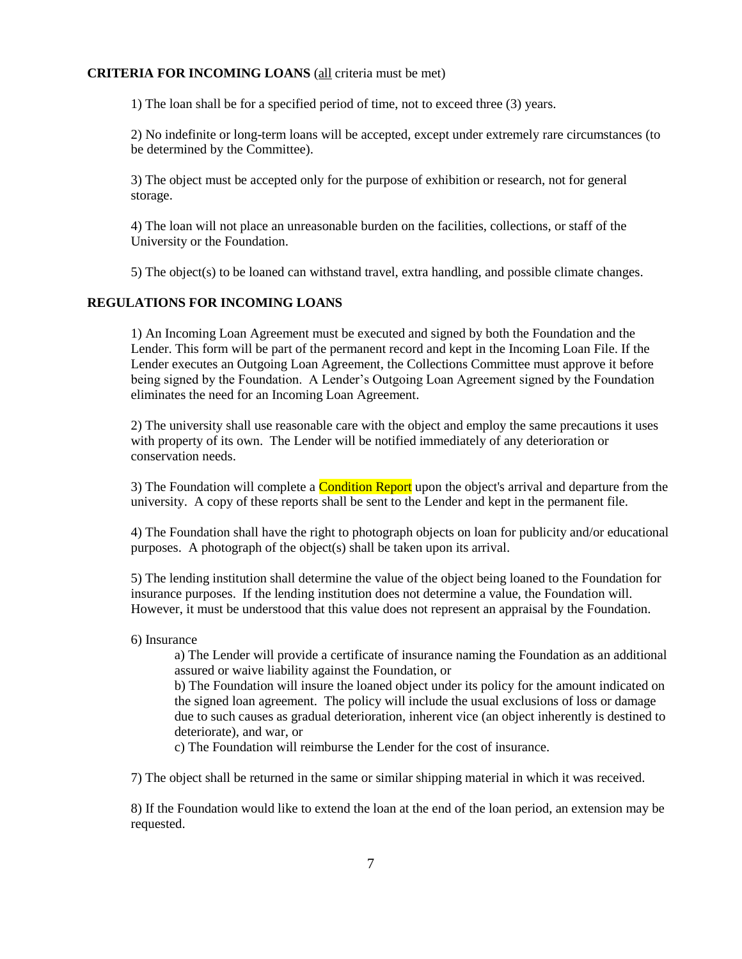#### **CRITERIA FOR INCOMING LOANS** (all criteria must be met)

1) The loan shall be for a specified period of time, not to exceed three (3) years.

2) No indefinite or long-term loans will be accepted, except under extremely rare circumstances (to be determined by the Committee).

3) The object must be accepted only for the purpose of exhibition or research, not for general storage.

4) The loan will not place an unreasonable burden on the facilities, collections, or staff of the University or the Foundation.

5) The object(s) to be loaned can withstand travel, extra handling, and possible climate changes.

#### **REGULATIONS FOR INCOMING LOANS**

1) An Incoming Loan Agreement must be executed and signed by both the Foundation and the Lender. This form will be part of the permanent record and kept in the Incoming Loan File. If the Lender executes an Outgoing Loan Agreement, the Collections Committee must approve it before being signed by the Foundation. A Lender's Outgoing Loan Agreement signed by the Foundation eliminates the need for an Incoming Loan Agreement.

2) The university shall use reasonable care with the object and employ the same precautions it uses with property of its own. The Lender will be notified immediately of any deterioration or conservation needs.

3) The Foundation will complete a **Condition Report** upon the object's arrival and departure from the university. A copy of these reports shall be sent to the Lender and kept in the permanent file.

4) The Foundation shall have the right to photograph objects on loan for publicity and/or educational purposes. A photograph of the object(s) shall be taken upon its arrival.

5) The lending institution shall determine the value of the object being loaned to the Foundation for insurance purposes. If the lending institution does not determine a value, the Foundation will. However, it must be understood that this value does not represent an appraisal by the Foundation.

6) Insurance

a) The Lender will provide a certificate of insurance naming the Foundation as an additional assured or waive liability against the Foundation, or

b) The Foundation will insure the loaned object under its policy for the amount indicated on the signed loan agreement. The policy will include the usual exclusions of loss or damage due to such causes as gradual deterioration, inherent vice (an object inherently is destined to deteriorate), and war, or

c) The Foundation will reimburse the Lender for the cost of insurance.

7) The object shall be returned in the same or similar shipping material in which it was received.

8) If the Foundation would like to extend the loan at the end of the loan period, an extension may be requested.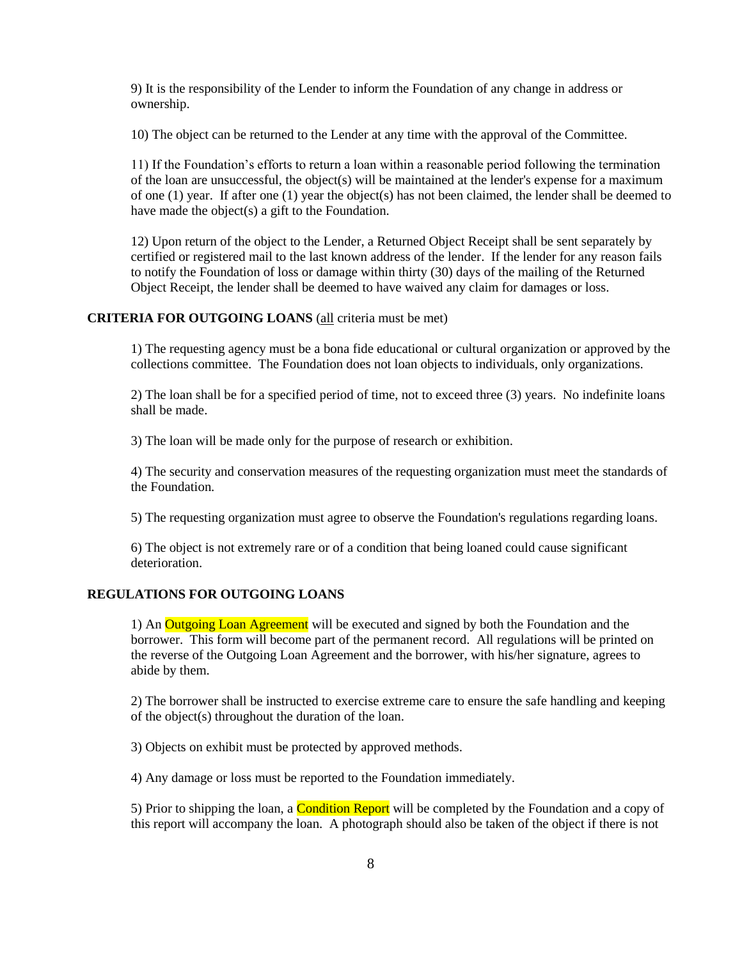9) It is the responsibility of the Lender to inform the Foundation of any change in address or ownership.

10) The object can be returned to the Lender at any time with the approval of the Committee.

11) If the Foundation's efforts to return a loan within a reasonable period following the termination of the loan are unsuccessful, the object(s) will be maintained at the lender's expense for a maximum of one (1) year. If after one (1) year the object(s) has not been claimed, the lender shall be deemed to have made the object(s) a gift to the Foundation.

12) Upon return of the object to the Lender, a Returned Object Receipt shall be sent separately by certified or registered mail to the last known address of the lender. If the lender for any reason fails to notify the Foundation of loss or damage within thirty (30) days of the mailing of the Returned Object Receipt, the lender shall be deemed to have waived any claim for damages or loss.

#### **CRITERIA FOR OUTGOING LOANS** (all criteria must be met)

1) The requesting agency must be a bona fide educational or cultural organization or approved by the collections committee. The Foundation does not loan objects to individuals, only organizations.

2) The loan shall be for a specified period of time, not to exceed three (3) years. No indefinite loans shall be made.

3) The loan will be made only for the purpose of research or exhibition.

4) The security and conservation measures of the requesting organization must meet the standards of the Foundation.

5) The requesting organization must agree to observe the Foundation's regulations regarding loans.

6) The object is not extremely rare or of a condition that being loaned could cause significant deterioration.

### **REGULATIONS FOR OUTGOING LOANS**

1) An **Outgoing Loan Agreement** will be executed and signed by both the Foundation and the borrower. This form will become part of the permanent record. All regulations will be printed on the reverse of the Outgoing Loan Agreement and the borrower, with his/her signature, agrees to abide by them.

2) The borrower shall be instructed to exercise extreme care to ensure the safe handling and keeping of the object(s) throughout the duration of the loan.

3) Objects on exhibit must be protected by approved methods.

4) Any damage or loss must be reported to the Foundation immediately.

5) Prior to shipping the loan, a **Condition Report** will be completed by the Foundation and a copy of this report will accompany the loan. A photograph should also be taken of the object if there is not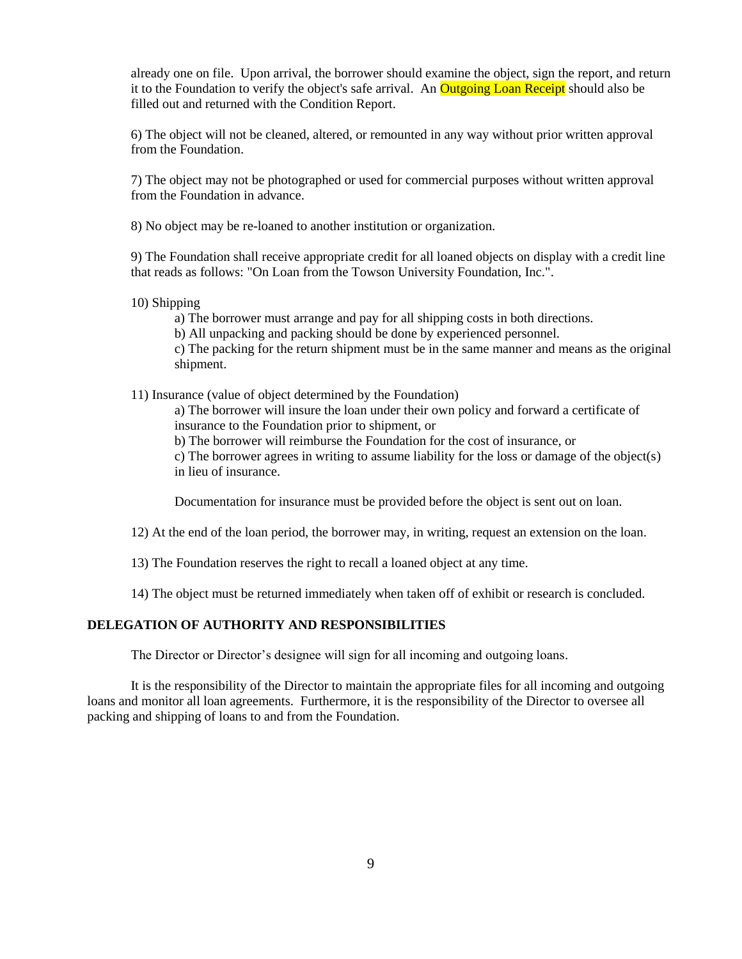already one on file. Upon arrival, the borrower should examine the object, sign the report, and return it to the Foundation to verify the object's safe arrival. An **Outgoing Loan Receipt** should also be filled out and returned with the Condition Report.

6) The object will not be cleaned, altered, or remounted in any way without prior written approval from the Foundation.

7) The object may not be photographed or used for commercial purposes without written approval from the Foundation in advance.

8) No object may be re-loaned to another institution or organization.

9) The Foundation shall receive appropriate credit for all loaned objects on display with a credit line that reads as follows: "On Loan from the Towson University Foundation, Inc.".

- 10) Shipping
	- a) The borrower must arrange and pay for all shipping costs in both directions.
	- b) All unpacking and packing should be done by experienced personnel.

c) The packing for the return shipment must be in the same manner and means as the original shipment.

11) Insurance (value of object determined by the Foundation)

a) The borrower will insure the loan under their own policy and forward a certificate of insurance to the Foundation prior to shipment, or

b) The borrower will reimburse the Foundation for the cost of insurance, or

c) The borrower agrees in writing to assume liability for the loss or damage of the object(s) in lieu of insurance.

Documentation for insurance must be provided before the object is sent out on loan.

- 12) At the end of the loan period, the borrower may, in writing, request an extension on the loan.
- 13) The Foundation reserves the right to recall a loaned object at any time.

14) The object must be returned immediately when taken off of exhibit or research is concluded.

## **DELEGATION OF AUTHORITY AND RESPONSIBILITIES**

The Director or Director's designee will sign for all incoming and outgoing loans.

It is the responsibility of the Director to maintain the appropriate files for all incoming and outgoing loans and monitor all loan agreements. Furthermore, it is the responsibility of the Director to oversee all packing and shipping of loans to and from the Foundation.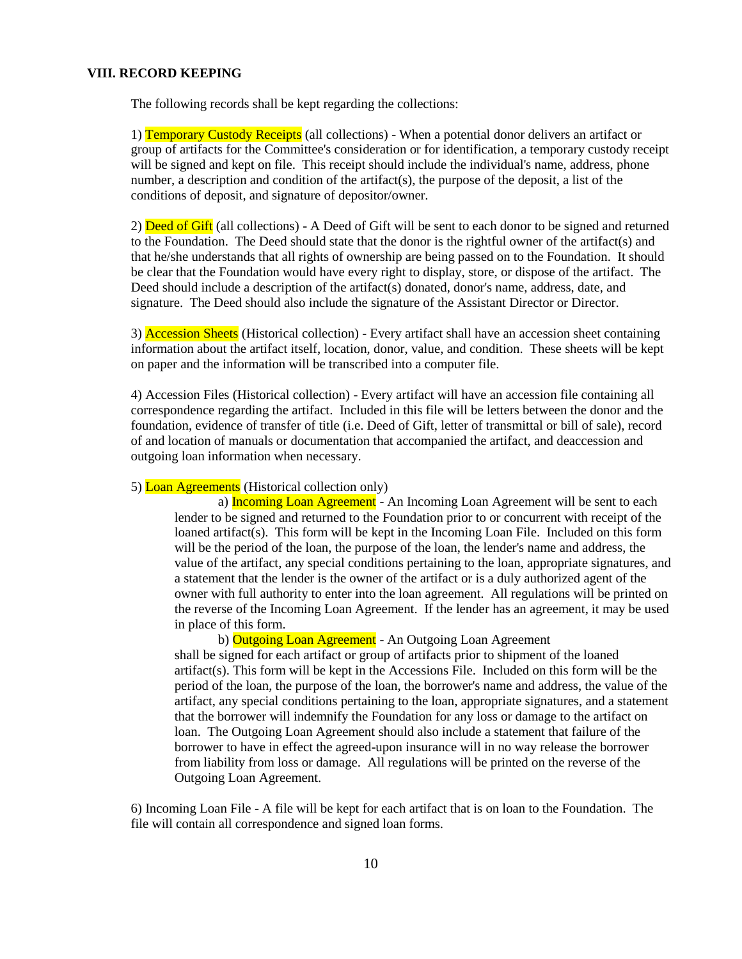#### **VIII. RECORD KEEPING**

The following records shall be kept regarding the collections:

1) Temporary Custody Receipts (all collections) - When a potential donor delivers an artifact or group of artifacts for the Committee's consideration or for identification, a temporary custody receipt will be signed and kept on file. This receipt should include the individual's name, address, phone number, a description and condition of the artifact(s), the purpose of the deposit, a list of the conditions of deposit, and signature of depositor/owner.

2) Deed of Gift (all collections) - A Deed of Gift will be sent to each donor to be signed and returned to the Foundation. The Deed should state that the donor is the rightful owner of the artifact(s) and that he/she understands that all rights of ownership are being passed on to the Foundation. It should be clear that the Foundation would have every right to display, store, or dispose of the artifact. The Deed should include a description of the artifact(s) donated, donor's name, address, date, and signature. The Deed should also include the signature of the Assistant Director or Director.

3) **Accession Sheets** (Historical collection) - Every artifact shall have an accession sheet containing information about the artifact itself, location, donor, value, and condition. These sheets will be kept on paper and the information will be transcribed into a computer file.

4) Accession Files (Historical collection) - Every artifact will have an accession file containing all correspondence regarding the artifact. Included in this file will be letters between the donor and the foundation, evidence of transfer of title (i.e. Deed of Gift, letter of transmittal or bill of sale), record of and location of manuals or documentation that accompanied the artifact, and deaccession and outgoing loan information when necessary.

#### 5) Loan Agreements (Historical collection only)

a) Incoming Loan Agreement - An Incoming Loan Agreement will be sent to each lender to be signed and returned to the Foundation prior to or concurrent with receipt of the loaned artifact(s). This form will be kept in the Incoming Loan File. Included on this form will be the period of the loan, the purpose of the loan, the lender's name and address, the value of the artifact, any special conditions pertaining to the loan, appropriate signatures, and a statement that the lender is the owner of the artifact or is a duly authorized agent of the owner with full authority to enter into the loan agreement. All regulations will be printed on the reverse of the Incoming Loan Agreement. If the lender has an agreement, it may be used in place of this form.

b) Outgoing Loan Agreement - An Outgoing Loan Agreement shall be signed for each artifact or group of artifacts prior to shipment of the loaned artifact(s). This form will be kept in the Accessions File. Included on this form will be the period of the loan, the purpose of the loan, the borrower's name and address, the value of the artifact, any special conditions pertaining to the loan, appropriate signatures, and a statement that the borrower will indemnify the Foundation for any loss or damage to the artifact on loan. The Outgoing Loan Agreement should also include a statement that failure of the borrower to have in effect the agreed-upon insurance will in no way release the borrower from liability from loss or damage. All regulations will be printed on the reverse of the Outgoing Loan Agreement.

6) Incoming Loan File - A file will be kept for each artifact that is on loan to the Foundation. The file will contain all correspondence and signed loan forms.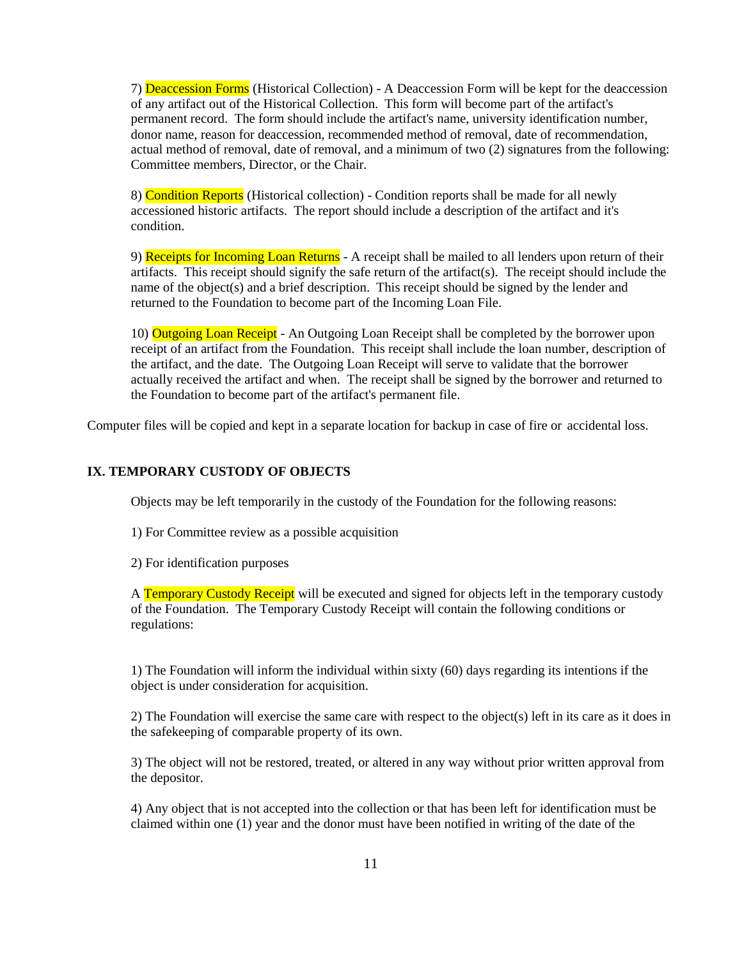7) Deaccession Forms (Historical Collection) - A Deaccession Form will be kept for the deaccession of any artifact out of the Historical Collection. This form will become part of the artifact's permanent record. The form should include the artifact's name, university identification number, donor name, reason for deaccession, recommended method of removal, date of recommendation, actual method of removal, date of removal, and a minimum of two (2) signatures from the following: Committee members, Director, or the Chair.

8) Condition Reports (Historical collection) - Condition reports shall be made for all newly accessioned historic artifacts. The report should include a description of the artifact and it's condition.

9) Receipts for Incoming Loan Returns - A receipt shall be mailed to all lenders upon return of their artifacts. This receipt should signify the safe return of the artifact(s). The receipt should include the name of the object(s) and a brief description. This receipt should be signed by the lender and returned to the Foundation to become part of the Incoming Loan File.

10) Outgoing Loan Receipt - An Outgoing Loan Receipt shall be completed by the borrower upon receipt of an artifact from the Foundation. This receipt shall include the loan number, description of the artifact, and the date. The Outgoing Loan Receipt will serve to validate that the borrower actually received the artifact and when. The receipt shall be signed by the borrower and returned to the Foundation to become part of the artifact's permanent file.

Computer files will be copied and kept in a separate location for backup in case of fire or accidental loss.

#### **IX. TEMPORARY CUSTODY OF OBJECTS**

Objects may be left temporarily in the custody of the Foundation for the following reasons:

1) For Committee review as a possible acquisition

2) For identification purposes

A Temporary Custody Receipt will be executed and signed for objects left in the temporary custody of the Foundation. The Temporary Custody Receipt will contain the following conditions or regulations:

1) The Foundation will inform the individual within sixty (60) days regarding its intentions if the object is under consideration for acquisition.

2) The Foundation will exercise the same care with respect to the object(s) left in its care as it does in the safekeeping of comparable property of its own.

3) The object will not be restored, treated, or altered in any way without prior written approval from the depositor.

4) Any object that is not accepted into the collection or that has been left for identification must be claimed within one (1) year and the donor must have been notified in writing of the date of the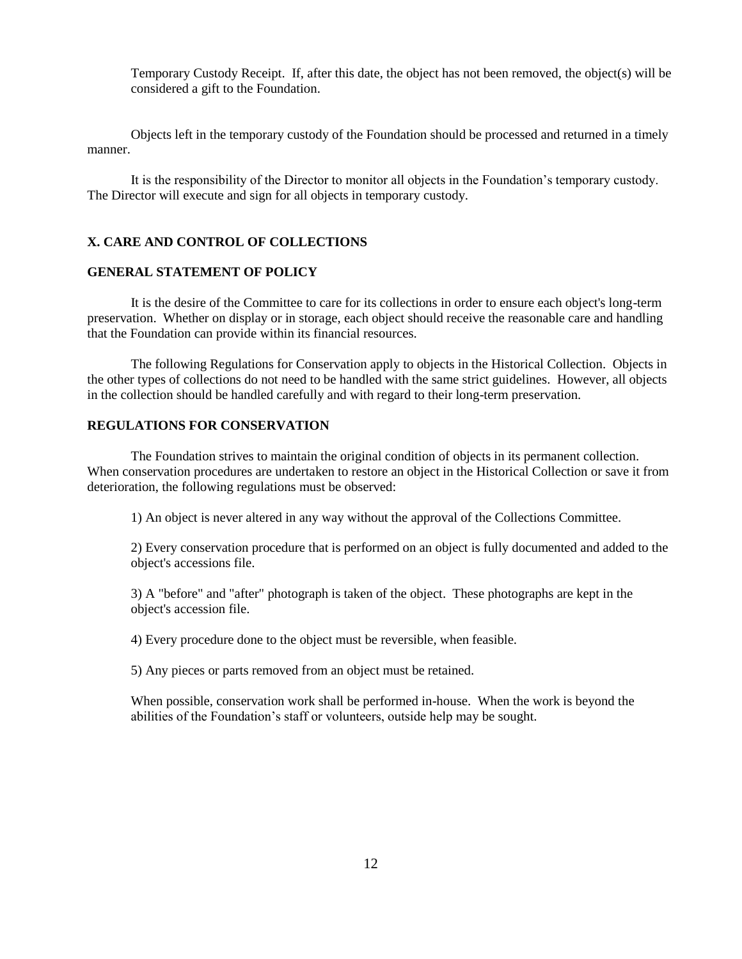Temporary Custody Receipt. If, after this date, the object has not been removed, the object(s) will be considered a gift to the Foundation.

Objects left in the temporary custody of the Foundation should be processed and returned in a timely manner.

It is the responsibility of the Director to monitor all objects in the Foundation's temporary custody. The Director will execute and sign for all objects in temporary custody.

### **X. CARE AND CONTROL OF COLLECTIONS**

### **GENERAL STATEMENT OF POLICY**

It is the desire of the Committee to care for its collections in order to ensure each object's long-term preservation. Whether on display or in storage, each object should receive the reasonable care and handling that the Foundation can provide within its financial resources.

The following Regulations for Conservation apply to objects in the Historical Collection. Objects in the other types of collections do not need to be handled with the same strict guidelines. However, all objects in the collection should be handled carefully and with regard to their long-term preservation.

### **REGULATIONS FOR CONSERVATION**

The Foundation strives to maintain the original condition of objects in its permanent collection. When conservation procedures are undertaken to restore an object in the Historical Collection or save it from deterioration, the following regulations must be observed:

1) An object is never altered in any way without the approval of the Collections Committee.

2) Every conservation procedure that is performed on an object is fully documented and added to the object's accessions file.

3) A "before" and "after" photograph is taken of the object. These photographs are kept in the object's accession file.

4) Every procedure done to the object must be reversible, when feasible.

5) Any pieces or parts removed from an object must be retained.

When possible, conservation work shall be performed in-house. When the work is beyond the abilities of the Foundation's staff or volunteers, outside help may be sought.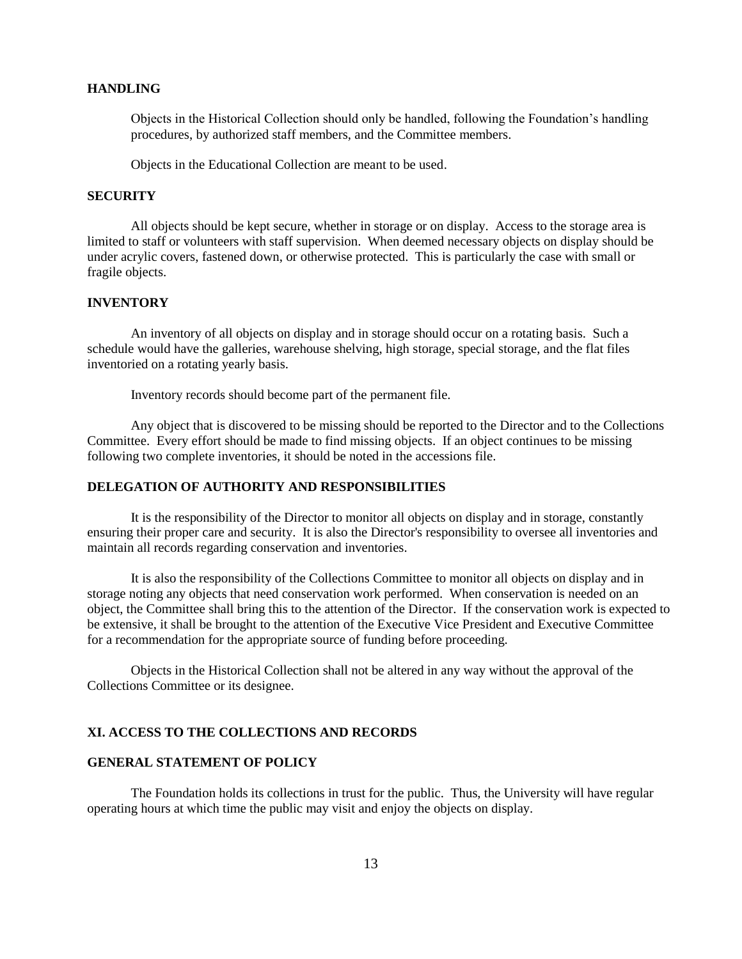### **HANDLING**

Objects in the Historical Collection should only be handled, following the Foundation's handling procedures, by authorized staff members, and the Committee members.

Objects in the Educational Collection are meant to be used.

### **SECURITY**

All objects should be kept secure, whether in storage or on display. Access to the storage area is limited to staff or volunteers with staff supervision. When deemed necessary objects on display should be under acrylic covers, fastened down, or otherwise protected. This is particularly the case with small or fragile objects.

### **INVENTORY**

An inventory of all objects on display and in storage should occur on a rotating basis. Such a schedule would have the galleries, warehouse shelving, high storage, special storage, and the flat files inventoried on a rotating yearly basis.

Inventory records should become part of the permanent file.

Any object that is discovered to be missing should be reported to the Director and to the Collections Committee. Every effort should be made to find missing objects. If an object continues to be missing following two complete inventories, it should be noted in the accessions file.

### **DELEGATION OF AUTHORITY AND RESPONSIBILITIES**

It is the responsibility of the Director to monitor all objects on display and in storage, constantly ensuring their proper care and security. It is also the Director's responsibility to oversee all inventories and maintain all records regarding conservation and inventories.

It is also the responsibility of the Collections Committee to monitor all objects on display and in storage noting any objects that need conservation work performed. When conservation is needed on an object, the Committee shall bring this to the attention of the Director. If the conservation work is expected to be extensive, it shall be brought to the attention of the Executive Vice President and Executive Committee for a recommendation for the appropriate source of funding before proceeding.

Objects in the Historical Collection shall not be altered in any way without the approval of the Collections Committee or its designee.

#### **XI. ACCESS TO THE COLLECTIONS AND RECORDS**

#### **GENERAL STATEMENT OF POLICY**

The Foundation holds its collections in trust for the public. Thus, the University will have regular operating hours at which time the public may visit and enjoy the objects on display.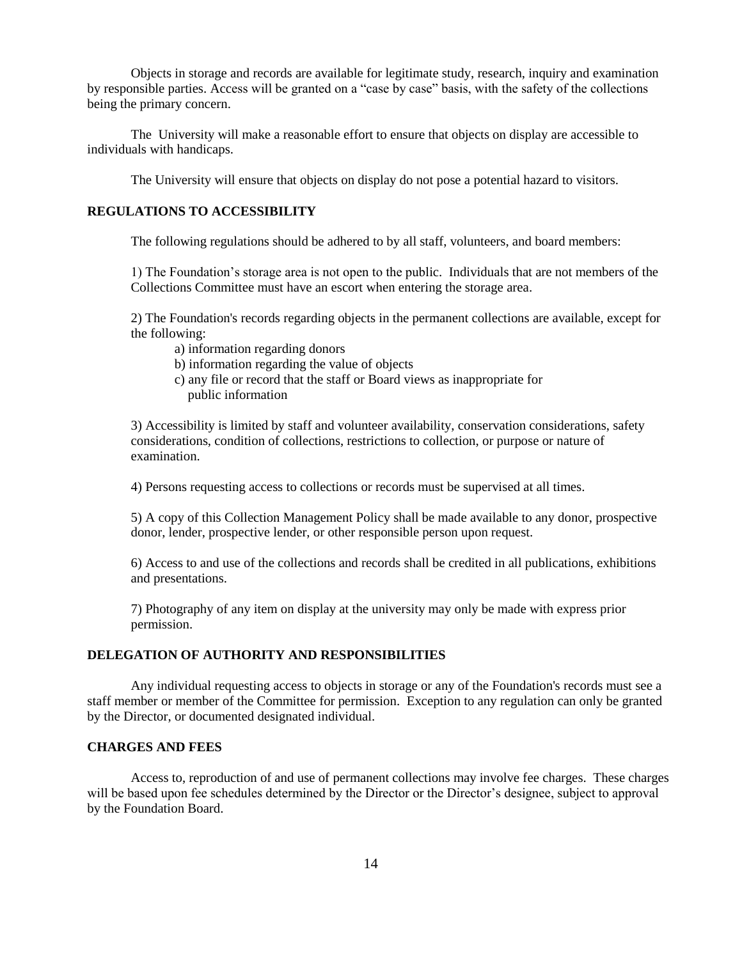Objects in storage and records are available for legitimate study, research, inquiry and examination by responsible parties. Access will be granted on a "case by case" basis, with the safety of the collections being the primary concern.

The University will make a reasonable effort to ensure that objects on display are accessible to individuals with handicaps.

The University will ensure that objects on display do not pose a potential hazard to visitors.

#### **REGULATIONS TO ACCESSIBILITY**

The following regulations should be adhered to by all staff, volunteers, and board members:

1) The Foundation's storage area is not open to the public. Individuals that are not members of the Collections Committee must have an escort when entering the storage area.

2) The Foundation's records regarding objects in the permanent collections are available, except for the following:

- a) information regarding donors
- b) information regarding the value of objects
- c) any file or record that the staff or Board views as inappropriate for public information

3) Accessibility is limited by staff and volunteer availability, conservation considerations, safety considerations, condition of collections, restrictions to collection, or purpose or nature of examination.

4) Persons requesting access to collections or records must be supervised at all times.

5) A copy of this Collection Management Policy shall be made available to any donor, prospective donor, lender, prospective lender, or other responsible person upon request.

6) Access to and use of the collections and records shall be credited in all publications, exhibitions and presentations.

7) Photography of any item on display at the university may only be made with express prior permission.

## **DELEGATION OF AUTHORITY AND RESPONSIBILITIES**

Any individual requesting access to objects in storage or any of the Foundation's records must see a staff member or member of the Committee for permission. Exception to any regulation can only be granted by the Director, or documented designated individual.

### **CHARGES AND FEES**

Access to, reproduction of and use of permanent collections may involve fee charges. These charges will be based upon fee schedules determined by the Director or the Director's designee, subject to approval by the Foundation Board.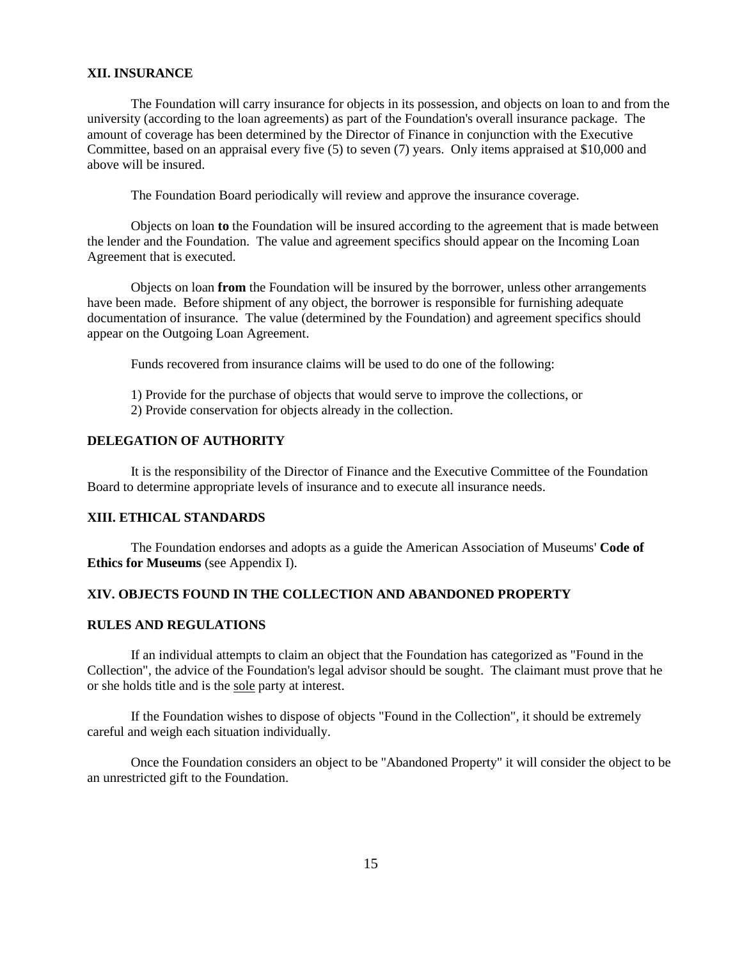#### **XII. INSURANCE**

The Foundation will carry insurance for objects in its possession, and objects on loan to and from the university (according to the loan agreements) as part of the Foundation's overall insurance package. The amount of coverage has been determined by the Director of Finance in conjunction with the Executive Committee, based on an appraisal every five (5) to seven (7) years. Only items appraised at \$10,000 and above will be insured.

The Foundation Board periodically will review and approve the insurance coverage.

Objects on loan **to** the Foundation will be insured according to the agreement that is made between the lender and the Foundation. The value and agreement specifics should appear on the Incoming Loan Agreement that is executed.

Objects on loan **from** the Foundation will be insured by the borrower, unless other arrangements have been made. Before shipment of any object, the borrower is responsible for furnishing adequate documentation of insurance. The value (determined by the Foundation) and agreement specifics should appear on the Outgoing Loan Agreement.

Funds recovered from insurance claims will be used to do one of the following:

1) Provide for the purchase of objects that would serve to improve the collections, or

2) Provide conservation for objects already in the collection.

### **DELEGATION OF AUTHORITY**

It is the responsibility of the Director of Finance and the Executive Committee of the Foundation Board to determine appropriate levels of insurance and to execute all insurance needs.

#### **XIII. ETHICAL STANDARDS**

The Foundation endorses and adopts as a guide the American Association of Museums' **Code of Ethics for Museums** (see Appendix I).

## **XIV. OBJECTS FOUND IN THE COLLECTION AND ABANDONED PROPERTY**

#### **RULES AND REGULATIONS**

If an individual attempts to claim an object that the Foundation has categorized as "Found in the Collection", the advice of the Foundation's legal advisor should be sought. The claimant must prove that he or she holds title and is the sole party at interest.

If the Foundation wishes to dispose of objects "Found in the Collection", it should be extremely careful and weigh each situation individually.

Once the Foundation considers an object to be "Abandoned Property" it will consider the object to be an unrestricted gift to the Foundation.